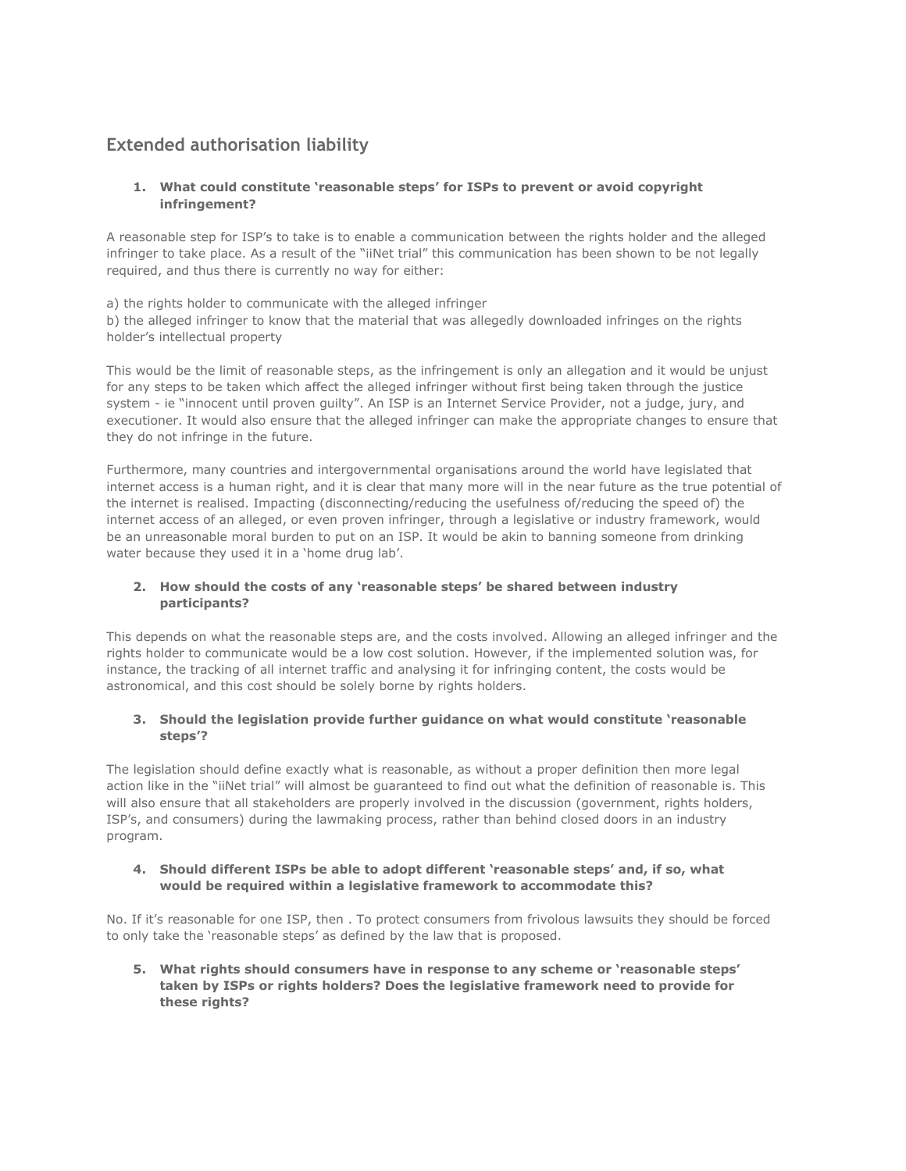# **Extended authorisation liability**

### **1. What could constitute 'reasonable steps' for ISPs to prevent or avoid copyright infringement?**

A reasonable step for ISP's to take is to enable a communication between the rights holder and the alleged infringer to take place. As a result of the "iiNet trial" this communication has been shown to be not legally required, and thus there is currently no way for either:

a) the rights holder to communicate with the alleged infringer b) the alleged infringer to know that the material that was allegedly downloaded infringes on the rights holder's intellectual property

This would be the limit of reasonable steps, as the infringement is only an allegation and it would be unjust for any steps to be taken which affect the alleged infringer without first being taken through the justice system - ie "innocent until proven guilty". An ISP is an Internet Service Provider, not a judge, jury, and executioner. It would also ensure that the alleged infringer can make the appropriate changes to ensure that they do not infringe in the future.

Furthermore, many countries and intergovernmental organisations around the world have legislated that internet access is a human right, and it is clear that many more will in the near future as the true potential of the internet is realised. Impacting (disconnecting/reducing the usefulness of/reducing the speed of) the internet access of an alleged, or even proven infringer, through a legislative or industry framework, would be an unreasonable moral burden to put on an ISP. It would be akin to banning someone from drinking water because they used it in a 'home drug lab'.

### **2. How should the costs of any 'reasonable steps' be shared between industry participants?**

This depends on what the reasonable steps are, and the costs involved. Allowing an alleged infringer and the rights holder to communicate would be a low cost solution. However, if the implemented solution was, for instance, the tracking of all internet traffic and analysing it for infringing content, the costs would be astronomical, and this cost should be solely borne by rights holders.

### **3. Should the legislation provide further guidance on what would constitute 'reasonable steps'?**

The legislation should define exactly what is reasonable, as without a proper definition then more legal action like in the "iiNet trial" will almost be guaranteed to find out what the definition of reasonable is. This will also ensure that all stakeholders are properly involved in the discussion (government, rights holders, ISP's, and consumers) during the lawmaking process, rather than behind closed doors in an industry program.

### **4. Should different ISPs be able to adopt different 'reasonable steps' and, if so, what would be required within a legislative framework to accommodate this?**

No. If it's reasonable for one ISP, then . To protect consumers from frivolous lawsuits they should be forced to only take the 'reasonable steps' as defined by the law that is proposed.

**5. What rights should consumers have in response to any scheme or 'reasonable steps' taken by ISPs or rights holders? Does the legislative framework need to provide for these rights?**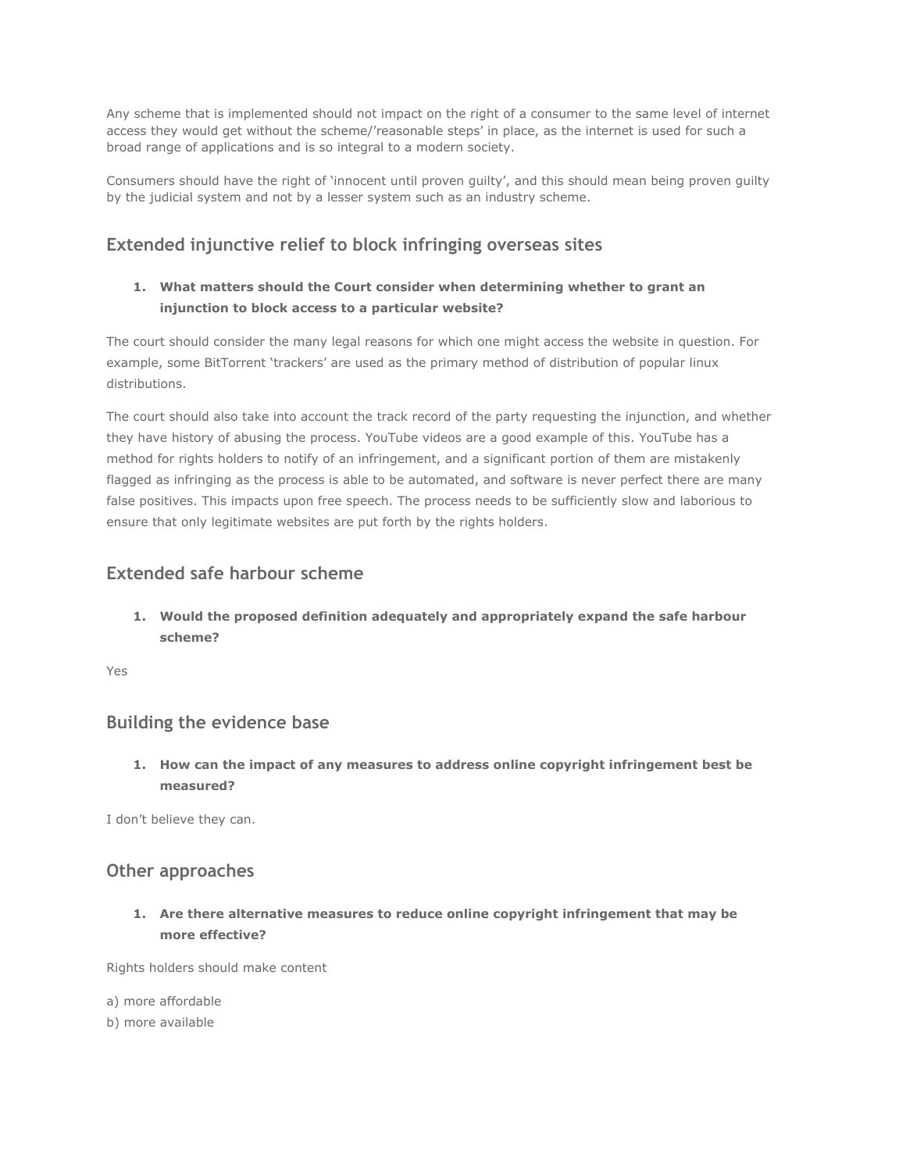Any scheme that is implemented should not impact on the right of a consumer to the same level of internet access they would get without the scheme/'reasonable steps' in place, as the internet is used for such a broad range of applications and is so integral to a modern society.

Consumers should have the right of 'innocent until proven guilty', and this should mean being proven guilty by the judicial system and not by a lesser system such as an industry scheme.

# **Extended injunctive relief to block infringing overseas sites**

### **1. What matters should the Court consider when determining whether to grant an injunction to block access to a particular website?**

The court should consider the many legal reasons for which one might access the website in question. For example, some BitTorrent 'trackers' are used as the primary method of distribution of popular linux distributions.

The court should also take into account the track record of the party requesting the injunction, and whether they have history of abusing the process. YouTube videos are a good example of this. YouTube has a method for rights holders to notify of an infringement, and a significant portion of them are mistakenly flagged as infringing as the process is able to be automated, and software is never perfect there are many false positives. This impacts upon free speech. The process needs to be sufficiently slow and laborious to ensure that only legitimate websites are put forth by the rights holders.

## **Extended safe harbour scheme**

**1. Would the proposed definition adequately and appropriately expand the safe harbour scheme?**

Yes

# **Building the evidence base**

**1. How can the impact of any measures to address online copyright infringement best be measured?**

I don't believe they can.

## **Other approaches**

**1. Are there alternative measures to reduce online copyright infringement that may be more effective?**

Rights holders should make content

a) more affordable

b) more available